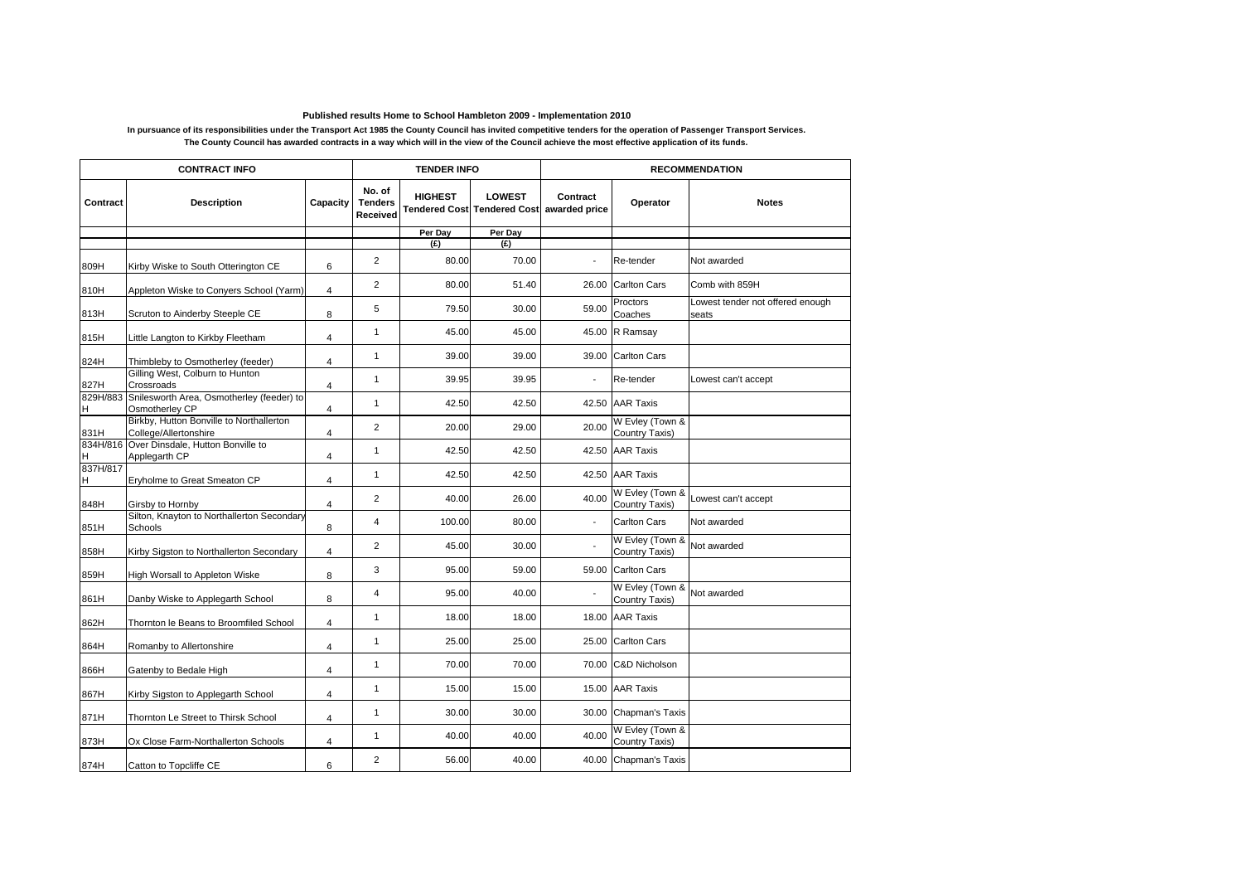## **Published results Home to School Hambleton 2009 - Implementation 2010**

## **In pursuance of its responsibilities under the Transport Act 1985 the County Council has invited competitive tenders for the operation of Passenger Transport Services. The County Council has awarded contracts in a way which will in the view of the Council achieve the most effective application of its funds.**

| <b>CONTRACT INFO</b> |                                                                   |                         | <b>TENDER INFO</b>                   |                |               | <b>RECOMMENDATION</b>                                 |                                   |                                           |  |
|----------------------|-------------------------------------------------------------------|-------------------------|--------------------------------------|----------------|---------------|-------------------------------------------------------|-----------------------------------|-------------------------------------------|--|
| Contract             | <b>Description</b>                                                | Capacity                | No. of<br><b>Tenders</b><br>Received | <b>HIGHEST</b> | <b>LOWEST</b> | Contract<br>Tendered Cost Tendered Cost awarded price | Operator                          | <b>Notes</b>                              |  |
|                      |                                                                   |                         |                                      | Per Day        | Per Day       |                                                       |                                   |                                           |  |
|                      |                                                                   |                         |                                      | (E)            | (E)           |                                                       |                                   |                                           |  |
| 809H                 | Kirby Wiske to South Otterington CE                               | 6                       | $\overline{2}$                       | 80.00          | 70.00         | $\overline{\phantom{a}}$                              | Re-tender                         | Not awarded                               |  |
| 810H                 | Appleton Wiske to Conyers School (Yarm)                           | $\overline{4}$          | $\overline{2}$                       | 80.00          | 51.40         | 26.00                                                 | Carlton Cars                      | Comb with 859H                            |  |
| 813H                 | Scruton to Ainderby Steeple CE                                    | 8                       | 5                                    | 79.50          | 30.00         | 59.00                                                 | Proctors<br>Coaches               | Lowest tender not offered enough<br>seats |  |
| 815H                 | Little Langton to Kirkby Fleetham                                 | $\overline{4}$          | $\mathbf{1}$                         | 45.00          | 45.00         | 45.00                                                 | R Ramsay                          |                                           |  |
| 824H                 | Thimbleby to Osmotherley (feeder)                                 | 4                       | $\mathbf{1}$                         | 39.00          | 39.00         | 39.00                                                 | Carlton Cars                      |                                           |  |
| 827H                 | Gilling West, Colburn to Hunton<br>Crossroads                     | 4                       | $\mathbf{1}$                         | 39.95          | 39.95         | $\overline{a}$                                        | Re-tender                         | Lowest can't accept                       |  |
| 829H/883<br>H        | Snilesworth Area, Osmotherley (feeder) to<br>Osmotherley CP       | $\overline{\mathbf{4}}$ | $\mathbf{1}$                         | 42.50          | 42.50         | 42.50                                                 | <b>AAR Taxis</b>                  |                                           |  |
| 831H                 | Birkby, Hutton Bonville to Northallerton<br>College/Allertonshire | 4                       | 2                                    | 20.00          | 29.00         | 20.00                                                 | W Evley (Town &<br>Country Taxis) |                                           |  |
| 834H/816<br>Η        | Over Dinsdale, Hutton Bonville to<br>Applegarth CP                | 4                       | $\mathbf{1}$                         | 42.50          | 42.50         | 42.50                                                 | <b>AAR Taxis</b>                  |                                           |  |
| 837H/817<br>H        | Eryholme to Great Smeaton CP                                      | 4                       | $\mathbf{1}$                         | 42.50          | 42.50         | 42.50                                                 | <b>AAR Taxis</b>                  |                                           |  |
| 848H                 | Girsby to Hornby                                                  | $\overline{4}$          | $\overline{2}$                       | 40.00          | 26.00         | 40.00                                                 | W Evley (Town &<br>Country Taxis) | Lowest can't accept                       |  |
| 851H                 | Silton, Knayton to Northallerton Secondary<br>Schools             | 8                       | $\overline{4}$                       | 100.00         | 80.00         | $\overline{\phantom{a}}$                              | <b>Carlton Cars</b>               | Not awarded                               |  |
| 858H                 | Kirby Sigston to Northallerton Secondary                          | 4                       | 2                                    | 45.00          | 30.00         |                                                       | W Evley (Town &<br>Country Taxis) | Not awarded                               |  |
| 859H                 | High Worsall to Appleton Wiske                                    | 8                       | 3                                    | 95.00          | 59.00         | 59.00                                                 | <b>Carlton Cars</b>               |                                           |  |
| 861H                 | Danby Wiske to Applegarth School                                  | 8                       | $\overline{4}$                       | 95.00          | 40.00         |                                                       | W Evley (Town &<br>Country Taxis) | Not awarded                               |  |
| 862H                 | Thornton le Beans to Broomfiled School                            | $\overline{4}$          | $\mathbf{1}$                         | 18.00          | 18.00         | 18.00                                                 | <b>AAR Taxis</b>                  |                                           |  |
| 864H                 | Romanby to Allertonshire                                          | 4                       | $\mathbf{1}$                         | 25.00          | 25.00         | 25.00                                                 | <b>Carlton Cars</b>               |                                           |  |
| 866H                 | Gatenby to Bedale High                                            | 4                       | $\mathbf{1}$                         | 70.00          | 70.00         | 70.00                                                 | C&D Nicholson                     |                                           |  |
| 867H                 | Kirby Sigston to Applegarth School                                | 4                       | $\mathbf{1}$                         | 15.00          | 15.00         | 15.00                                                 | <b>AAR Taxis</b>                  |                                           |  |
| 871H                 | Thornton Le Street to Thirsk School                               | 4                       | $\mathbf{1}$                         | 30.00          | 30.00         | 30.00                                                 | Chapman's Taxis                   |                                           |  |
| 873H                 | Ox Close Farm-Northallerton Schools                               | $\overline{4}$          | $\mathbf{1}$                         | 40.00          | 40.00         | 40.00                                                 | W Evley (Town &<br>Country Taxis) |                                           |  |
| 874H                 | Catton to Topcliffe CE                                            | 6                       | $\overline{2}$                       | 56.00          | 40.00         | 40.00                                                 | Chapman's Taxis                   |                                           |  |